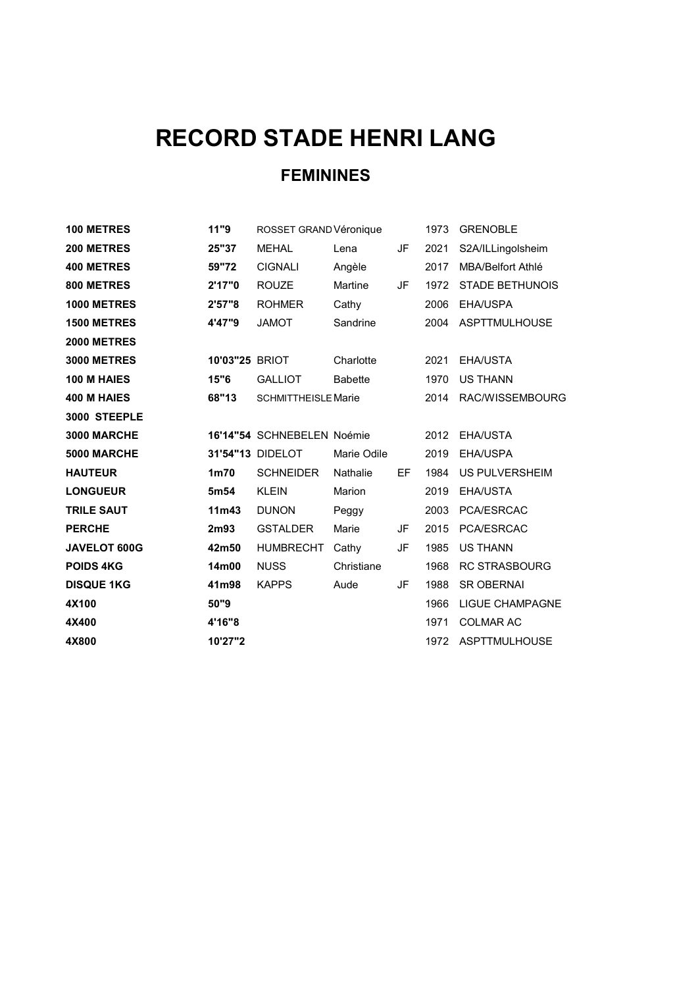## RECORD STADE HENRI LANG

## FEMININES

| 100 METRES         | 11"9              | ROSSET GRAND Véronique     |                |    | 1973 | <b>GRENOBLE</b>          |
|--------------------|-------------------|----------------------------|----------------|----|------|--------------------------|
| 200 METRES         | 25"37             | <b>MEHAL</b>               | Lena           | JF | 2021 | S2A/ILLingolsheim        |
| <b>400 METRES</b>  | 59"72             | <b>CIGNALI</b>             | Angèle         |    | 2017 | <b>MBA/Belfort Athlé</b> |
| 800 METRES         | 2'17"0            | <b>ROUZE</b>               | Martine        | JF | 1972 | <b>STADE BETHUNOIS</b>   |
| 1000 METRES        | 2'57"8            | <b>ROHMER</b>              | Cathy          |    | 2006 | EHA/USPA                 |
| <b>1500 METRES</b> | 4'47"9            | <b>JAMOT</b>               | Sandrine       |    | 2004 | ASPTTMULHOUSE            |
| <b>2000 METRES</b> |                   |                            |                |    |      |                          |
| <b>3000 METRES</b> | 10'03"25 BRIOT    |                            | Charlotte      |    | 2021 | EHA/USTA                 |
| 100 M HAIES        | 15"6              | <b>GALLIOT</b>             | <b>Babette</b> |    | 1970 | <b>US THANN</b>          |
| 400 M HAIES        | 68"13             | <b>SCHMITTHEISLE Marie</b> |                |    | 2014 | RAC/WISSEMBOURG          |
| 3000 STEEPLE       |                   |                            |                |    |      |                          |
| 3000 MARCHE        |                   | 16'14"54 SCHNEBELEN Noémie |                |    | 2012 | EHA/USTA                 |
| 5000 MARCHE        |                   | 31'54"13 DIDELOT           | Marie Odile    |    | 2019 | EHA/USPA                 |
| <b>HAUTEUR</b>     | 1 <sub>m</sub> 70 | <b>SCHNEIDER</b>           | Nathalie       | EF | 1984 | US PULVERSHEIM           |
| <b>LONGUEUR</b>    | 5m <sub>54</sub>  | <b>KLEIN</b>               | Marion         |    | 2019 | EHA/USTA                 |
| <b>TRILE SAUT</b>  | 11 <sub>m43</sub> | <b>DUNON</b>               | Peggy          |    | 2003 | PCA/ESRCAC               |
| <b>PERCHE</b>      | 2m93              | <b>GSTALDER</b>            | Marie          | JF | 2015 | PCA/ESRCAC               |
| JAVELOT 600G       | 42m50             | <b>HUMBRECHT</b>           | Cathy          | JF | 1985 | <b>US THANN</b>          |
| <b>POIDS 4KG</b>   | 14m00             | <b>NUSS</b>                | Christiane     |    | 1968 | <b>RC STRASBOURG</b>     |
| <b>DISQUE 1KG</b>  | 41m98             | <b>KAPPS</b>               | Aude           | JF | 1988 | <b>SR OBERNAI</b>        |
| 4X100              | 50"9              |                            |                |    | 1966 | <b>LIGUE CHAMPAGNE</b>   |
| 4X400              | 4'16"8            |                            |                |    | 1971 | <b>COLMAR AC</b>         |
| 4X800              | 10'27"2           |                            |                |    | 1972 | ASPTTMULHOUSE            |